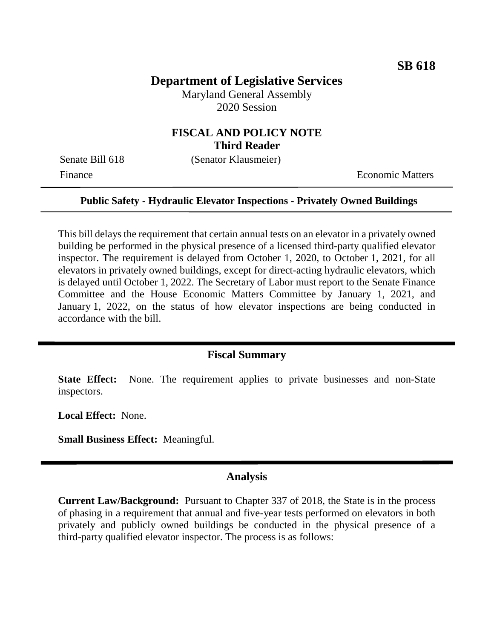# **Department of Legislative Services**

Maryland General Assembly 2020 Session

# **FISCAL AND POLICY NOTE Third Reader**

Senate Bill 618 (Senator Klausmeier)

Finance **Exercífical Economic Matters** 

#### **Public Safety - Hydraulic Elevator Inspections - Privately Owned Buildings**

This bill delays the requirement that certain annual tests on an elevator in a privately owned building be performed in the physical presence of a licensed third-party qualified elevator inspector. The requirement is delayed from October 1, 2020, to October 1, 2021, for all elevators in privately owned buildings, except for direct-acting hydraulic elevators, which is delayed until October 1, 2022. The Secretary of Labor must report to the Senate Finance Committee and the House Economic Matters Committee by January 1, 2021, and January 1, 2022, on the status of how elevator inspections are being conducted in accordance with the bill.

## **Fiscal Summary**

**State Effect:** None. The requirement applies to private businesses and non-State inspectors.

**Local Effect:** None.

**Small Business Effect:** Meaningful.

#### **Analysis**

**Current Law/Background:** Pursuant to Chapter 337 of 2018, the State is in the process of phasing in a requirement that annual and five-year tests performed on elevators in both privately and publicly owned buildings be conducted in the physical presence of a third-party qualified elevator inspector. The process is as follows: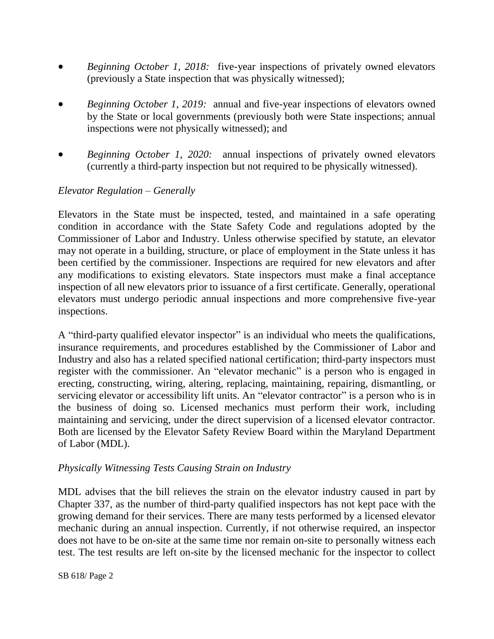- *Beginning October 1, 2018:* five-year inspections of privately owned elevators (previously a State inspection that was physically witnessed);
- *Beginning October 1, 2019:* annual and five-year inspections of elevators owned by the State or local governments (previously both were State inspections; annual inspections were not physically witnessed); and
- *Beginning October 1, 2020:* annual inspections of privately owned elevators (currently a third-party inspection but not required to be physically witnessed).

## *Elevator Regulation – Generally*

Elevators in the State must be inspected, tested, and maintained in a safe operating condition in accordance with the State Safety Code and regulations adopted by the Commissioner of Labor and Industry. Unless otherwise specified by statute, an elevator may not operate in a building, structure, or place of employment in the State unless it has been certified by the commissioner. Inspections are required for new elevators and after any modifications to existing elevators. State inspectors must make a final acceptance inspection of all new elevators prior to issuance of a first certificate. Generally, operational elevators must undergo periodic annual inspections and more comprehensive five-year inspections.

A "third-party qualified elevator inspector" is an individual who meets the qualifications, insurance requirements, and procedures established by the Commissioner of Labor and Industry and also has a related specified national certification; third-party inspectors must register with the commissioner. An "elevator mechanic" is a person who is engaged in erecting, constructing, wiring, altering, replacing, maintaining, repairing, dismantling, or servicing elevator or accessibility lift units. An "elevator contractor" is a person who is in the business of doing so. Licensed mechanics must perform their work, including maintaining and servicing, under the direct supervision of a licensed elevator contractor. Both are licensed by the Elevator Safety Review Board within the Maryland Department of Labor (MDL).

### *Physically Witnessing Tests Causing Strain on Industry*

MDL advises that the bill relieves the strain on the elevator industry caused in part by Chapter 337, as the number of third-party qualified inspectors has not kept pace with the growing demand for their services. There are many tests performed by a licensed elevator mechanic during an annual inspection. Currently, if not otherwise required, an inspector does not have to be on-site at the same time nor remain on-site to personally witness each test. The test results are left on-site by the licensed mechanic for the inspector to collect